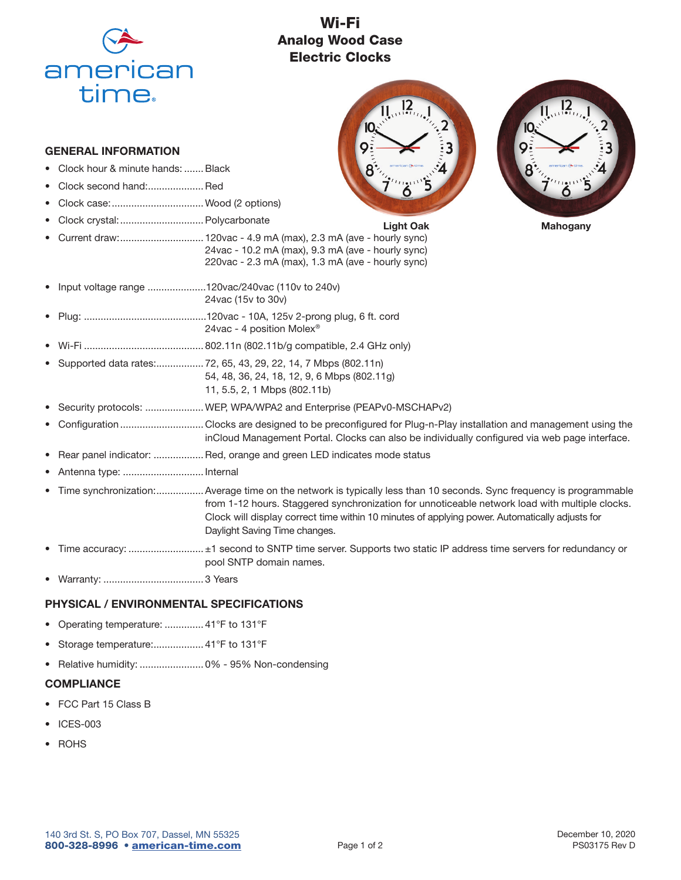

## Wi-Fi Analog Wood Case Electric Clocks



- Clock hour & minute hands: ....... Black
- Clock second hand:.................... Red
- Clock case: .................................Wood (2 options)
- Clock crystal: ..............................Polycarbonate



- Input voltage range .....................120vac/240vac (110v to 240v) 24vac (15v to 30v)
- Plug: ............................................120vac 10A, 125v 2-prong plug, 6 ft. cord 24vac - 4 position Molex®
- Wi-Fi ........................................... 802.11n (802.11b/g compatible, 2.4 GHz only)
- Supported data rates: ................. 72, 65, 43, 29, 22, 14, 7 Mbps (802.11n) 54, 48, 36, 24, 18, 12, 9, 6 Mbps (802.11g) 11, 5.5, 2, 1 Mbps (802.11b)
- Security protocols: .....................WEP, WPA/WPA2 and Enterprise (PEAPv0-MSCHAPv2)
- Configuration .............................. Clocks are designed to be preconfigured for Plug-n-Play installation and management using the inCloud Management Portal. Clocks can also be individually configured via web page interface.
- Rear panel indicator: ................... Red, orange and green LED indicates mode status
- Antenna type: ............................. Internal
- Time synchronization: .................Average time on the network is typically less than 10 seconds. Sync frequency is programmable from 1-12 hours. Staggered synchronization for unnoticeable network load with multiple clocks. Clock will display correct time within 10 minutes of applying power. Automatically adjusts for Daylight Saving Time changes.
- Time accuracy: ............................... ±1 second to SNTP time server. Supports two static IP address time servers for redundancy or pool SNTP domain names.
- Warranty: .................................... 3 Years

## PHYSICAL / ENVIRONMENTAL SPECIFICATIONS

- Operating temperature: .............. 41°F to 131°F
- Storage temperature:................... 41°F to 131°F
- Relative humidity: ....................... 0% 95% Non-condensing

## **COMPLIANCE**

- FCC Part 15 Class B
- ICES-003
- ROHS